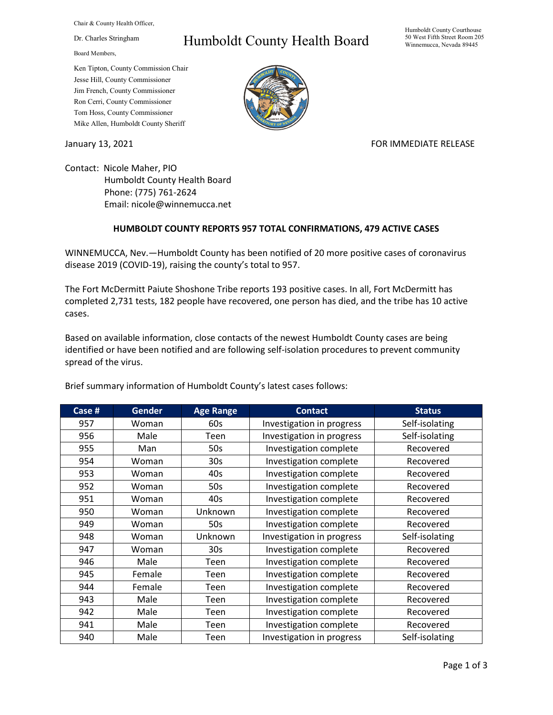Chair & County Health Officer,

Dr. Charles Stringham

Board Members,

## Ken Tipton, County Commission Chair Jesse Hill, County Commissioner Jim French, County Commissioner Ron Cerri, County Commissioner Tom Hoss, County Commissioner Mike Allen, Humboldt County Sheriff

## Humboldt County Health Board



January 13, 2021 **FOR IMMEDIATE RELEASE** 

Contact: Nicole Maher, PIO Humboldt County Health Board Phone: (775) 761-2624 Email: nicole@winnemucca.net

## **HUMBOLDT COUNTY REPORTS 957 TOTAL CONFIRMATIONS, 479 ACTIVE CASES**

WINNEMUCCA, Nev.—Humboldt County has been notified of 20 more positive cases of coronavirus disease 2019 (COVID-19), raising the county's total to 957.

The Fort McDermitt Paiute Shoshone Tribe reports 193 positive cases. In all, Fort McDermitt has completed 2,731 tests, 182 people have recovered, one person has died, and the tribe has 10 active cases.

Based on available information, close contacts of the newest Humboldt County cases are being identified or have been notified and are following self-isolation procedures to prevent community spread of the virus.

| Case # | <b>Gender</b> | <b>Age Range</b> | <b>Contact</b>            | <b>Status</b>  |
|--------|---------------|------------------|---------------------------|----------------|
| 957    | Woman         | 60s              | Investigation in progress | Self-isolating |
| 956    | Male          | Teen             | Investigation in progress | Self-isolating |
| 955    | Man           | 50s              | Investigation complete    | Recovered      |
| 954    | Woman         | 30s              | Investigation complete    | Recovered      |
| 953    | Woman         | 40s              | Investigation complete    | Recovered      |
| 952    | Woman         | 50s              | Investigation complete    | Recovered      |
| 951    | Woman         | 40s              | Investigation complete    | Recovered      |
| 950    | Woman         | Unknown          | Investigation complete    | Recovered      |
| 949    | Woman         | 50s              | Investigation complete    | Recovered      |
| 948    | Woman         | Unknown          | Investigation in progress | Self-isolating |
| 947    | Woman         | 30s              | Investigation complete    | Recovered      |
| 946    | Male          | Teen             | Investigation complete    | Recovered      |
| 945    | Female        | Teen             | Investigation complete    | Recovered      |
| 944    | Female        | Teen             | Investigation complete    | Recovered      |
| 943    | Male          | Teen             | Investigation complete    | Recovered      |
| 942    | Male          | Teen             | Investigation complete    | Recovered      |
| 941    | Male          | Teen             | Investigation complete    | Recovered      |
| 940    | Male          | Teen             | Investigation in progress | Self-isolating |

Brief summary information of Humboldt County's latest cases follows: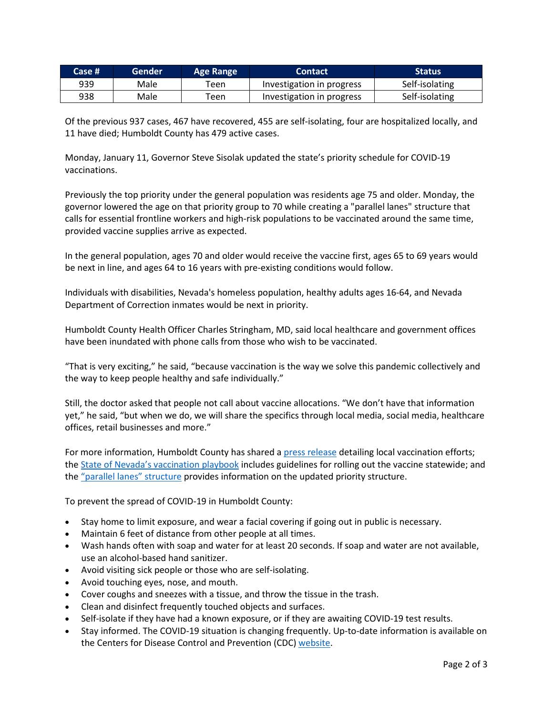| Case # | Gender | Age Range | <b>Contact</b>            | <b>Status</b>  |
|--------|--------|-----------|---------------------------|----------------|
| 939    | Male   | Teen      | Investigation in progress | Self-isolating |
| 938    | Male   | Teen      | Investigation in progress | Self-isolating |

Of the previous 937 cases, 467 have recovered, 455 are self-isolating, four are hospitalized locally, and 11 have died; Humboldt County has 479 active cases.

Monday, January 11, Governor Steve Sisolak updated the state's priority schedule for COVID-19 vaccinations.

Previously the top priority under the general population was residents age 75 and older. Monday, the governor lowered the age on that priority group to 70 while creating a "parallel lanes" structure that calls for essential frontline workers and high-risk populations to be vaccinated around the same time, provided vaccine supplies arrive as expected.

In the general population, ages 70 and older would receive the vaccine first, ages 65 to 69 years would be next in line, and ages 64 to 16 years with pre-existing conditions would follow.

Individuals with disabilities, Nevada's homeless population, healthy adults ages 16-64, and Nevada Department of Correction inmates would be next in priority.

Humboldt County Health Officer Charles Stringham, MD, said local healthcare and government offices have been inundated with phone calls from those who wish to be vaccinated.

"That is very exciting," he said, "because vaccination is the way we solve this pandemic collectively and the way to keep people healthy and safe individually."

Still, the doctor asked that people not call about vaccine allocations. "We don't have that information yet," he said, "but when we do, we will share the specifics through local media, social media, healthcare offices, retail businesses and more."

For more information, Humboldt County has shared a [press release](https://www.hcnv.us/DocumentCenter/View/5234/Humboldt-County-COVID-Vaccinations-Are-Coming-But-Timeline-Is-Not-Clear) detailing local vaccination efforts; the [State of Nevada's vaccination playbook](https://nvhealthresponse.nv.gov/wp-content/uploads/2021/01/NEVADA-COVID-19-VACCINE-PLAYBOOK-V3.pdf) includes guidelines for rolling out the vaccine statewide; and the ["parallel lanes" structure](https://www.facebook.com/ImmunizeNV/photos/a.111471763801/10158355203818802/?type=3) provides information on the updated priority structure.

To prevent the spread of COVID-19 in Humboldt County:

- Stay home to limit exposure, and wear a facial covering if going out in public is necessary.
- Maintain 6 feet of distance from other people at all times.
- Wash hands often with soap and water for at least 20 seconds. If soap and water are not available, use an alcohol-based hand sanitizer.
- Avoid visiting sick people or those who are self-isolating.
- Avoid touching eyes, nose, and mouth.
- Cover coughs and sneezes with a tissue, and throw the tissue in the trash.
- Clean and disinfect frequently touched objects and surfaces.
- Self-isolate if they have had a known exposure, or if they are awaiting COVID-19 test results.
- Stay informed. The COVID-19 situation is changing frequently. Up-to-date information is available on the Centers for Disease Control and Prevention (CDC) [website.](http://www.cdc.gov/coronavirus/2019-ncov/index.html)